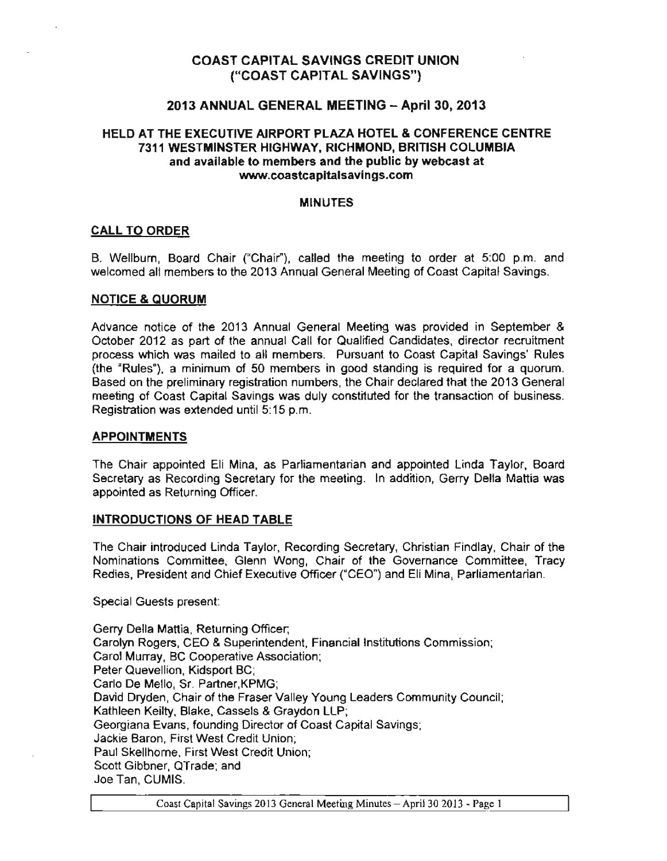## COAST CAPITAL SAVINGS CREDIT UNION ("COAST CAPITAL SAVINGS")

### 2013 ANNUAL GENERAL MEETING - April 30, 2013

### HELD AT THE EXECUTIVE AIRPORT PLAZA HOTEL & CONFERENCE CENTRE 7311 WESTMINSTER HIGHWAY, RICHMOND, BRITISH COLUMBIA and available to members and the public by webcast at www.coastcapttalsavings.com

#### MINUTES

#### CALL TO ORDER

B. Wellburn, Board Chair ("Chair"), called the meeting to order at 5:00 p.m. and welcomed all members to the 2013 Annual General Meeting of Coast Capital Savings.

#### NOTICE & QUORUM

Advance notice of the 2013 Annual General Meeting was provided in September & October 2012 as part of the annual Call for Qualified Candidates, director recruitment process which was mailed to all members. Pursuant to Coast Capital Savings' Rules (the "Rules"), a minimum of 50 members in good standing is required for a quorum. Based on the preliminary registration numbers, the Chair declared that the 2013 General meeting of Coast Capital Savings was duly constituted for the transaction of business. Registration was extended until 5:15 p.m.

#### APPOINTMENTS

The Chair appointed Eli Mina, as Parliamentarian and appointed Linda Taylor, Board Secretary as Recording Secretary for the meeting. In addition, Gerry Della Mattia was appointed as Returning Officer.

#### INTRODUCTIONS OF HEAD TABLE

The Chair introduced Linda Taylor, Recording Secretary, Christian Findlay, Chair of the Nominations Committee, Glenn Wong, Chair of the Governance Committee, Tracy Redies, President and Chief Executive Officer ("CEO") and Eli Mina, Parliamentarian.

Special Guests present:

Gerry Della Mattia, Returning Officer; Carolyn Rogers, CEO & Superintendent, Financial Institutions Commission; Carol Murray, BC Cooperative Association; Peter Quevellion, Kidsport BC; Carlo De Mello, Sr. Partner, KPMG; David Dryden, Chair of the Fraser Valley Young leaders Community Council; Kathleen Keilty. Blake. Cassels & Graydon LLP; Georgiana Evans, founding Director of Coast Capital Savings; Jackie Baron, First West Credit Union; Paul Skellhorne, First West Credit Union; Scott Gibbner, QTrade: and Joe Tan, CUMIS.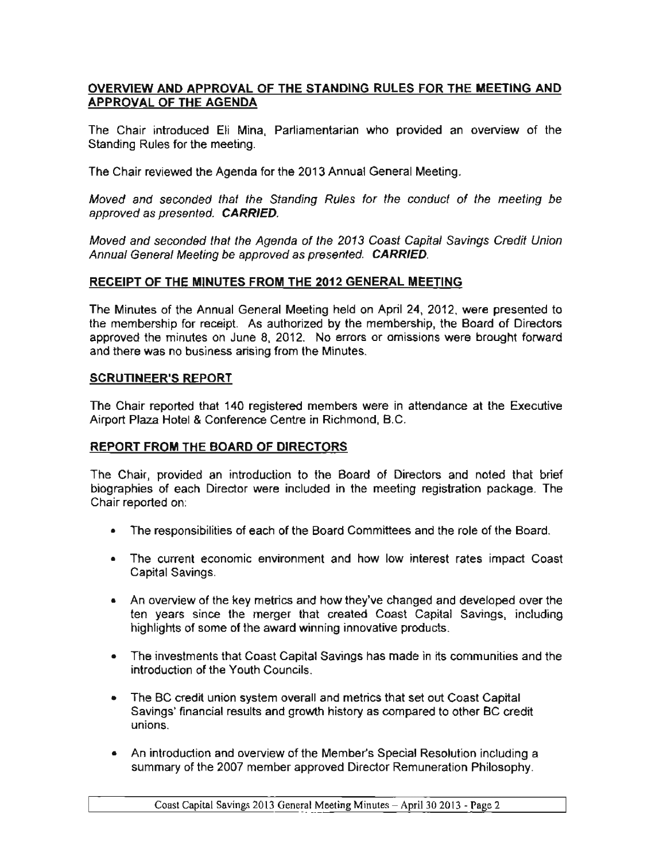## OVERVIEW AND APPROVAL OF THE STANDING RULES FOR THE MEETING AND APPROVAL OF THE AGENDA

The Chair introduced Eli Mina, Parliamentarian who provided an overview of the Standing Rules for the meeting.

The Chair reviewed the Agenda for the 2013 Annual General Meeting.

Moved and seconded that the Standing Rules for the conduct of the meeting be approved as presented. CARRIED.

Moved and seconded that the Agenda of the 2013 Coast Capital Savings Credit Union Annual General Meeting be approved as presented. CARRIED.

### RECEIPT OF THE MINUTES FROM THE 2012 GENERAL MEETING

The Minutes of the Annual General Meeting held on April 24, 2012, were presented to the membership for receipt. As authorized by the membership, the Board of Directors approved the minutes on June 8, 2012. No errors or omissions were brought forward and there was no business arising from the Minutes.

### SCRUTINEER'S REPORT

The Chair reported that 140 registered members were in attendance at the Executive Airport Plaza Hotel & Conference Centre in Richmond, B.C.

### REPORT FROM THE BOARD OF DIRECTORS

The Chair, provided an introduction to the Board of Directors and noted that brief biographies of each Director were included in the meeting registration package. The Chair reported on:

- The responsibilities of each of the Board Committees and the role of the Board.
- The current economic environment and how low interest rates impact Coast Capital Savings.
- An overview of the key metrics and how they've changed and developed over the ten years since the merger that created Coast Capital Savings, including highlights of some of the award winning innovative products.
- The investments that Coast Capital Savings has made in its communities and the introduction of the Youth Councils.
- The BC credit union system overall and metrics that set out Coast Capital Savings' financial results and growth history as compared to other BC credit unions.
- An introduction and overview of the Member's Special Resolution including a summary of the 2007 member approved Director Remuneration Philosophy.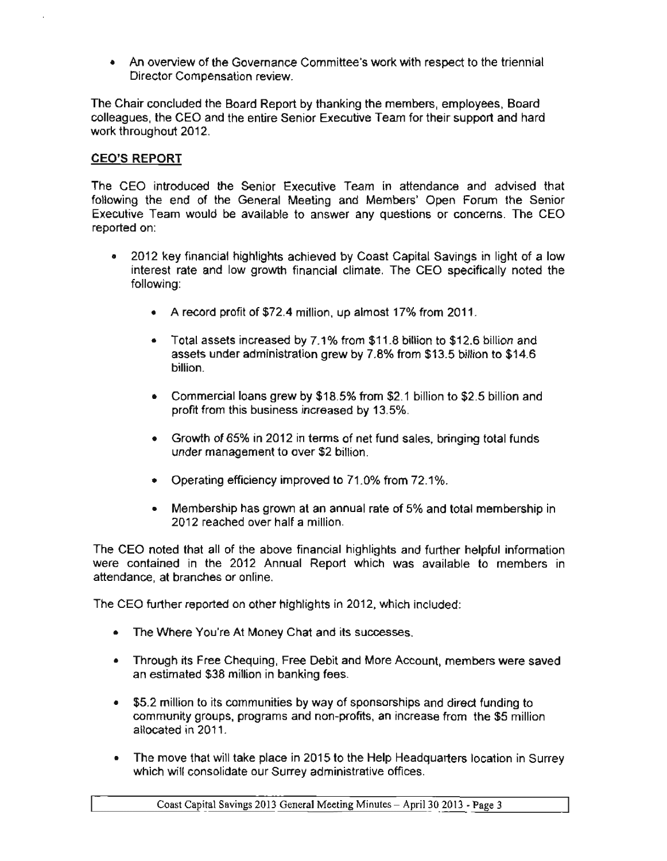• An overview of the Governance Committee's work with respect to the triennial Director Compensation review.

The Chair concluded the Board Report by thanking the members, employees, Board colleagues, the CEO and the entire Senior Executive Team for their support and hard work throughout 2012.

## CEO'S REPORT

The CEO introduced the Senior Executive Team in attendance and advised that following the end of the General Meeting and Members' Open Forum the Senior Executive Team would be available to answer any questions or concerns. The CEO reported on:

- 2012 key financial highlights achieved by Coast Capital Savings in light of a low interest rate and low growth financial climate. The CEO specifically noted the following:
	- A record profit of \$72.4 million, up almost 17% from 2011.
	- Total assets increased by 7.1% from \$11.8 billion to \$12.6 billion and assets under administration grew by 7.8% from \$13.5 billion to \$14.6 billion.
	- Commercial loans grew by \$18.5% from \$2.1 billion to \$2.5 billion and profit from this business increased by 13.5%.
	- Growth of 65% in 2012 in terms of net fund sales, bringing total funds under management to over \$2 billion.
	- Operating efficiency improved to 71.0% from 72.1%.
	- Membership has grown at an annual rate of 5% and total membership in 2012 reached over half a million.

The CEO noted that all of the above financial highlights and further helpful information were contained in the 2012 Annual Report which was available to members in attendance, at branches or online.

The CEO further reported on other highlights in 2012. which included:

- The Where You're At Money Chat and its successes.
- Through its Free Chequing, Free Debit and More Account, members were saved an estimated \$38 million in banking fees.
- \$5.2 million to its communrties by way of sponsorships and direct funding to community groups, programs and non-profits. an increase from the \$5 million allocated in 2011.
- The move that will take place in 2015 to the Help Headquarters location in Surrey which will consolidate our Surrey administrative offices.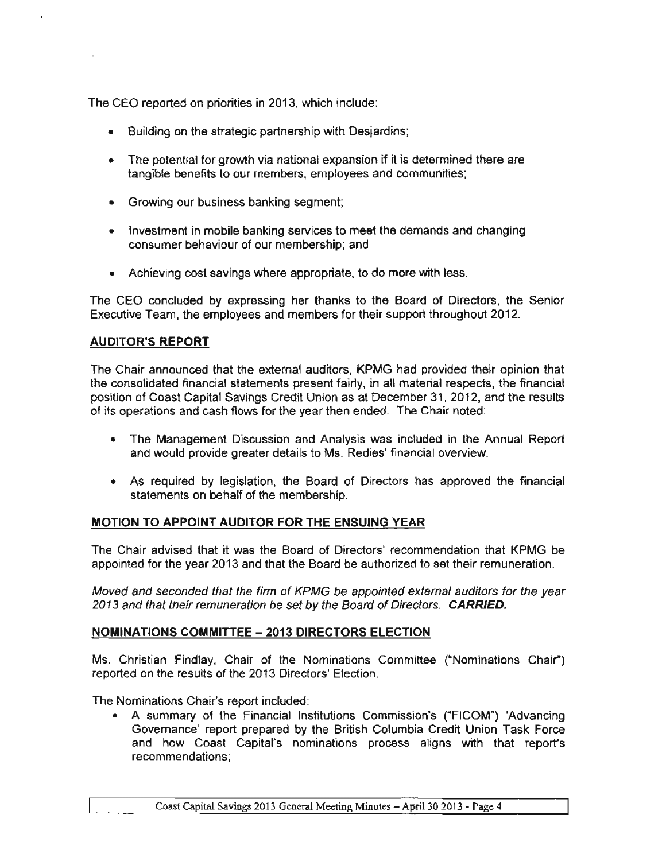The CEO reported on priorities in 2013, which indude:

- Building on the strategic partnership with Desjardins;
- The potential for growth via national expansion if it is determined there are tangible benefits to our members, employees and communities;
- Growing our business banking segment;
- Investment in mobile banking services to meet the demands and changing consumer behaviour of our membership; and
- Achieving cost savings where appropriate, to do more with less.

The CEO concluded by expressing her thanks to the Board of Directors, the Senior Executive Team, the employees and members for their support throughout 2012.

## AUDITOR'S REPORT

The Chair announced that the external auditors, KPMG had provided their opinion that the consolidated financial statements present fairly, in all material respects, the financial position of Coast Capital Savings Credit Union as at December 31, 2012, and the results of its operations and cash flows for the year then ended. The Chair noted:

- The Management Discussion and Analysis was included in the Annual Report and would provide greater details to Ms. Redies' financial overview.
- As required by legislation, the Board of Directors has approved the financial statements on behalf of the membership.

### MOTION TO APPOINT AUDITOR FOR THE ENSUING YEAR

The Chair advised that it was the Board of Directors' recommendation that KPMG be appointed for the year 2013 and that the Board be authorized to set their remuneration.

Moved and seconded that the firm of KPMG be appointed external auditors for the year 2013 and that their remuneration be set by the Board of Directors. CARRIED.

### NOMINATIONS COMMITTEE - 2013 DIRECTORS ELECTION

Ms. Christian Findlay, Chair of the Nominations Committee ("Nominations Chair") reported on the results of the 2013 Directors' Election.

The Nominations Chair's report included:

• A summary of the Financial Institutions Commission's ("FICOM") 'Advancing Governance' report prepared by the British Columbia Credit Union Task Force and how Coast Capital's nominations process aligns with that report's recommendations;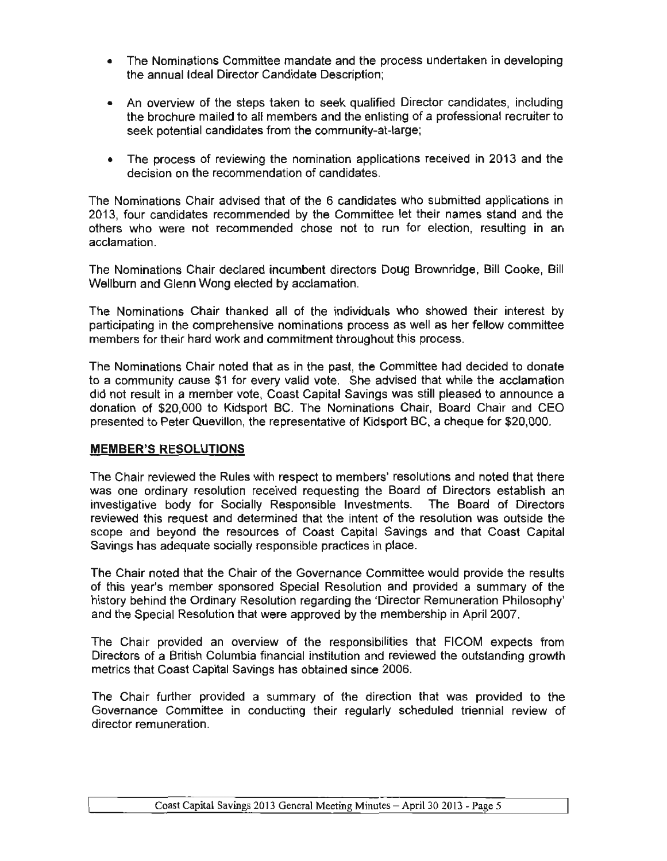- The Nominations Committee mandate and the process undertaken in developing the annual Ideal Director Candidate Description;
- An overview of the steps taken to seek qualified Director candidates, including the brochure mailed to all members and the enlisting of a professional recruiter to seek potential candidates from the community-at-Iarge;
- The process of reviewing the nomination applications received in 2013 and the decision on the recommendation of candidates.

The Nominations Chair advised that of the 6 candidates who submitted applications in 2013, four candidates recommended by the Committee let their names stand and the others who were not recommended chose not to run for election, resulting in an acclamation.

The Nominations Chair declared incumbent directors Doug Brownridge, Bill Cooke, Bill Wellburn and Glenn Wong elected by acclamation.

The Nominations Chair thanked all of the individuals who showed their interest by participating in the comprehensive nominations process as well as her fellow committee members for their hard work and commitment throughout this process.

The Nominations Chair noted that as in the past, the Committee had decided to donate to a community cause \$1 for every valid vote. She advised that while the acclamation did not result in a member vote, Coast Capital Savings was still pleased to announce a donation of \$20,000 to Kidsport BC. The Nominations Chair, Board Chair and CEO presented to Peter Quevillon, the representative of Kidsport BC, a cheque for \$20,000.

### MEMBER'S RESOLUTIONS

The Chair reviewed the Rules with respect to members' resolutions and noted that there was one ordinary resolution received requesting the Board of Directors establish an investigative body for Socially Responsible Investments. The Board of Directors reviewed this request and determined that the intent of the resolution was outside the scope and beyond the resources of Coast Capital Savings and that Coast Capital SaVings has adequate socially responsible practices in place.

The Chair noted that the Chair of the Governance Committee would provide the results of this year's member sponsored Special Resolution and provided a summary of the history behind the Ordinary Resolution regarding the 'Director Remuneration Philosophy' and the Special Resolution that were approved by the membership in April 2007.

The Chair provided an overview of the responsibilities that FICOM expects from Directors of a British Columbia financial institution and reviewed the outstanding growth metrics that Coast Capital Savings has obtained since 2006.

The Chair further provided a summary of the direction that was provided to the Governance Committee in conducting their regularly scheduled triennial review of director remuneration.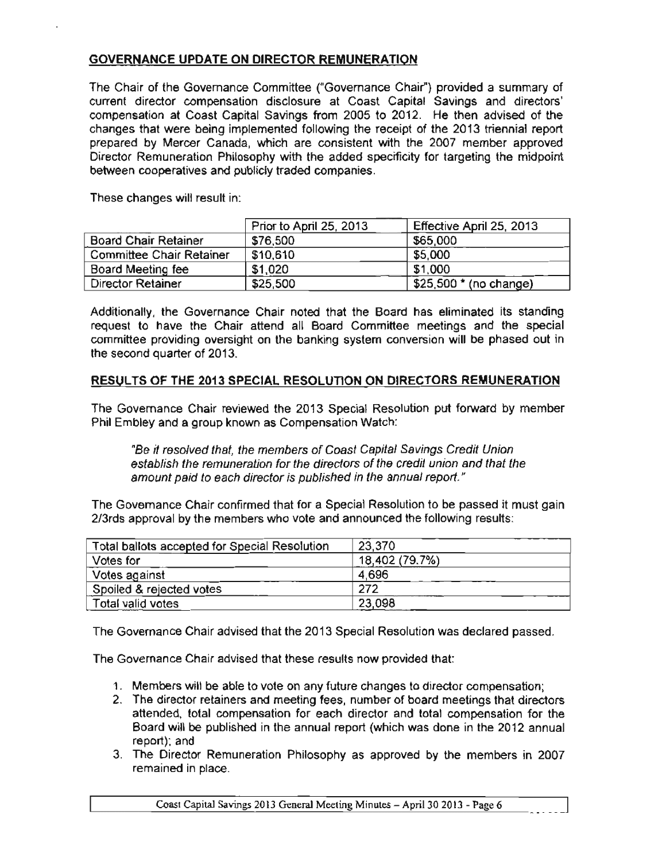# GOVERNANCE UPDATE ON DIRECTOR REMUNERATION

The Chair of the Governance Committee ("Governance Chair") provided a summary of current director compensation disclosure at Coast Capital Savings and directors' compensation at Coast Capital Savings from 2005 to 2012. He then advised of the changes that were being implemented following the receipt of the 2013 triennial report prepared by Mercer Canada, which are consistent with the 2007 member approved Director Remuneration Philosophy with the added specificity for targeting the midpoint between cooperatives and publicly traded companies.

These changes will result in:

|                                 | Prior to April 25, 2013 | Effective April 25, 2013  |
|---------------------------------|-------------------------|---------------------------|
| <b>Board Chair Retainer</b>     | \$76,500                | \$65,000                  |
| <b>Committee Chair Retainer</b> | \$10,610                | \$5,000                   |
| Board Meeting fee               | \$1,020                 | \$1,000                   |
| <b>Director Retainer</b>        | \$25,500                | $$25,500$ $*$ (no change) |

Additionally, the Governance Chair noted that the Board has eliminated its standing request to have the Chair attend all Board Committee meetings and the special committee providing oversight on the banking system conversion will be phased out in the second quarter of 2013.

### RESULTS OF THE 2013 SPECIAL RESOLUTION ON DIRECTORS REMUNERATION

The Governance Chair reviewed the 2013 Special Resolution put forward by member Phil Embley and a group known as Compensation Watch:

"Be it resolved that, the members of Coast Capital Savings Credit Union establish the remuneration for the directors of the credit union and that the amount paid to each director is published in the annual report. "

The Governance Chair confirmed that for a Special Resolution to be passed it must gain 2/3rds approval by the members who vote and announced the following results:

| Total ballots accepted for Special Resolution | 23,370         |
|-----------------------------------------------|----------------|
| Votes for                                     | 18,402 (79.7%) |
| Votes against                                 | 4.696          |
| Spoiled & rejected votes                      | 272            |
| Total valid votes                             | 23,098         |

The Governance Chair advised that the 2013 Special Resolution was declared passed.

The Governance Chair advised that these results now provided that:

- 1. Members will be able to vote on any future changes '0 director compensation;
- 2. The director retainers and meeting fees, number of board meetings that directors attended, total compensation for each director and total compensation for the Board will be published in the annual report (which was done in the 2012 annual report); and
- 3. The Director Remuneration Philosophy as approved by the members in 2007 remained in place.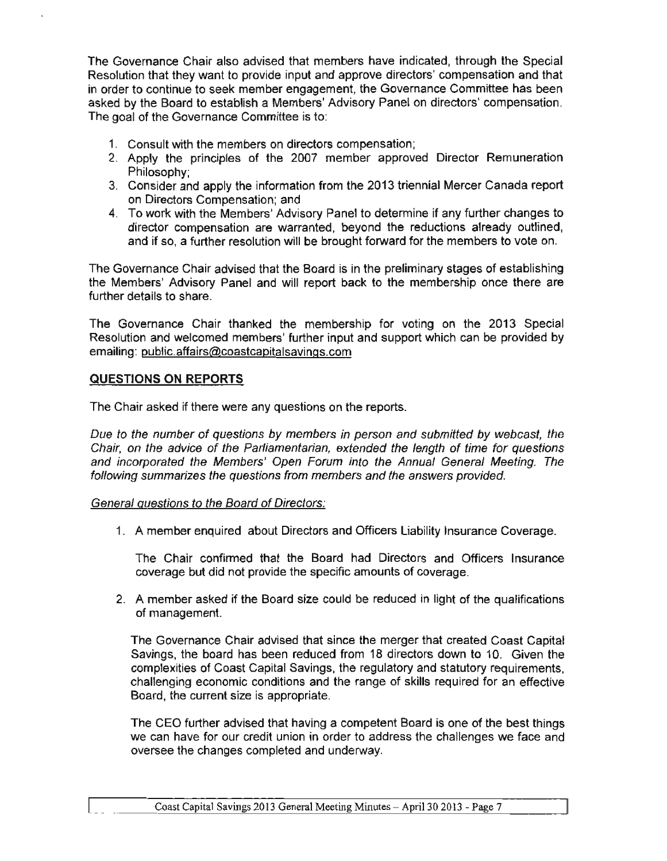The Governance Chair also advised that members have indicated, through the Special Resolution that they want to provide input and approve directors' compensation and that in order to continue to seek member engagement, the Governance Committee has been asked by the Board to establish a Members' Advisory Panel on directors' compensation. The goal of the Governance Committee is to:

- 1. Consult with the members on directors compensation;
- 2. Apply the principles of the 2007 member approved Director Remuneration Philosophy;
- 3. Consider and apply the information from the 2013 triennial Mercer Canada report on Directors Compensation; and
- 4. To work with the Members' Advisory Panel to determine if any further changes to director compensation are warranted, beyond the reductions already outlined, and if so, a further resolution will be brought forward for the members to vote on.

The Governance Chair advised that the Board is in the preliminary stages of establishing the Members' Advisory Panel and will report back to the membership once there are further details to share.

The Governance Chair thanked the membership for voting on the 2013 Special Resolution and welcomed members' further input and support which can be provided by emailing: public.affairs@coastcapitalsavings.com

### QUESTIONS ON REPORTS

The Chair asked if there were any questions on the reports.

Due to the number of questions by members in person and submitted by webcast, the Chair, on the advice of the Parliamentarian, extended the length of time for questions and incorporated the Members' Open Forum into the Annual General Meeting. The following summarizes the questions from members and the answers provided.

#### General questions to the Board of Directors:

1. A member enquired about Directors and Officers Liability Insurance Coverage.

The Chair confinned that the Board had Directors and Officers Insurance coverage but did not provide the specific amounts of coverage.

2. A member asked if the Board size could be reduced in light of the qualifications of management.

The Governance Chair advised that since the merger that created Coast Capital Savings, the board has been reduced from 18 directors down to 10. Given the complexities of Coast Capital Savings, the regulatory and statutory requirements, challenging economic conditions and the range of skills required for an effective Board, the current size is appropriate.

The CEO further advised that having a competent Board is one of the best things we can have for our credit union in order to address the challenges we face and oversee the changes completed and underway.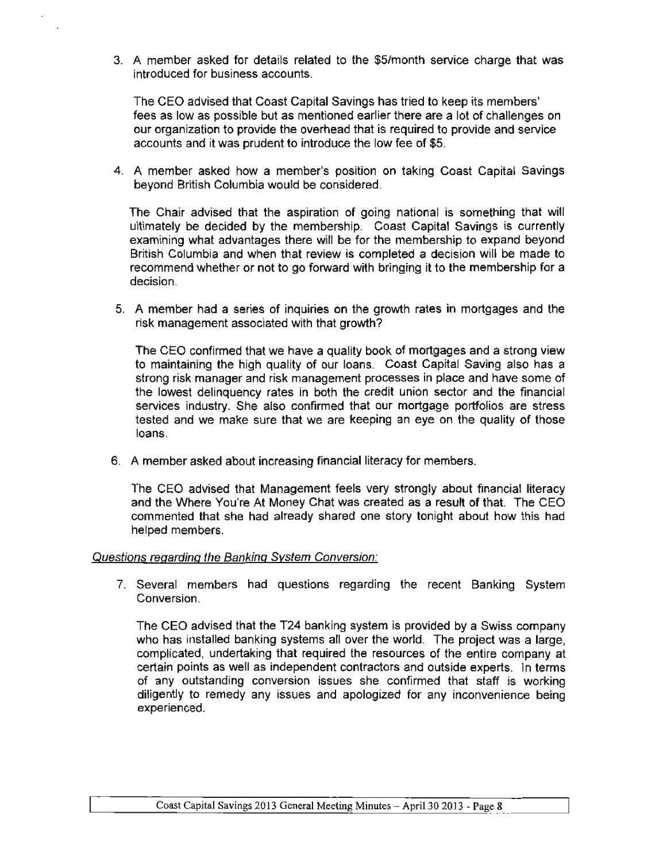3. A member asked for details related to the \$5/month service charge that was introduced for business accounts.

The CEO advised that Coast Capital Savings has tried to keep its members' fees as low as possible but as mentioned earlier there are a lot of challenges on our organization to provide the overhead that is required to provide and service accounts and it was prudent to introduce the low fee of \$5.

4. A member asked how a member's position on taking Coast Capital Savings beyond British Columbia would be considered.

The Chair advised that the aspiration of going national is something that will ultimately be decided by the membership. Coast Capital Savings is currently examining what advantages there will be for the membership to expand beyond British Columbia and when that review is completed a decision will be made to recommend whether or not to go forward with bringing it to the membership for a decision.

5. A member had a series of inquiries on the growth rates in mortgages and the risk management associated with that growth?

The CEO confirmed that we have a quality book of mortgages and a strong view to maintaining the high quality of our loans. Coast Capital Saving also has a strong risk manager and risk management processes in place and have some of the lowest delinquency rates in both the credit union sector and the financial services industry. She also confirmed that our mortgage portfolios are stress tested and we make sure that we are keeping an eye on the quality of those loans.

6. A member asked about increasing financial literacy for members.

The CEO advised that Management feels very strongly about financial literacy and the Where You're At Money Chat was created as a result of that. The CEO commented that she had already shared one story tonight about how this had helped members.

#### Questions regarding the Banking System Conversion:

7. Several members had questions regarding the recent Banking System Conversion.

The CEO advised that the T24 banking system is provided by a Swiss company who has installed banking systems all over the world. The project was a large, complicated, undertaking that required the resources of the entire company at certain points as well as independent contractors and outside experts. In terms of any outstanding conversion issues she confirmed that staff is working diligently to remedy any issues and apologized for any inconvenience being experienced.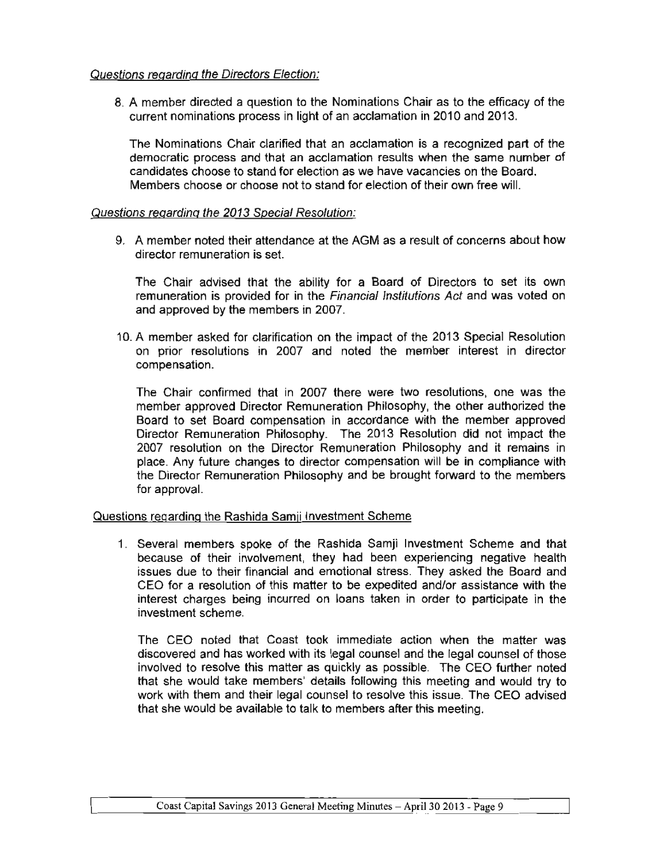### Questions regarding the Directors Election:

8. A member directed a question to the Nominations Chair as to the efficacy of the current nominations process in light of an acclamation in 2010 and 2013.

The Nominations Chair clarified that an acclamation is a recognized part of the democratic process and that an acclamation results when the same number of candidates choose to stand for election as we have vacancies on the Board. Members choose or choose not to stand for election of their own free will.

#### Questions regarding the 2013 Special Resolution:

9. A member noted their attendance at the AGM as a result of concerns about how director remuneration is set.

The Chair advised that the ability for a Board of Directors to set its own remuneration is provided for in the Financial Institutions Act and was voted on and approved by the members in 2007.

10. A member asked for clarification on the impact of the 2013 Special Resolution on prior resolutions in 2007 and noted the member interest in director compensation.

The Chair confirmed that in 2007 there were two resolutions, one was the member approved Director Remuneration Philosophy, the other authorized the Board to set Board compensation in accordance with the member approved Director Remuneration Philosophy. The 2013 Resolution did not impact the 2007 resolution on the Director Remuneration Philosophy and it remains in place. Any future changes to director compensation will be in compliance with the Director Remuneration Philosophy and be brought forward to the members for approval.

#### Questions regarding the Rashida Samji Investment Scheme

1. Several members spoke of the Rashida Samji Investment Scheme and that because of their involvement, they had been experiencing negative health issues due to their financial and emotional stress. They asked the Board and CEO for a resolution of this matter to be expedited and/or assistance with the interest charges being incurred on loans taken in order to participate in the investment scheme.

The CEO noted that Coast took immediate action when the matter was discovered and has worked with its legal counsel and the legal counsel of those involved to resolve this matter as quickly as possible. The CEO further noted that she would take members' details following this meeting and would try to work with them and their legal counsel to resolve this issue. The CEO advised that she would be available to talk to members after this meeting.